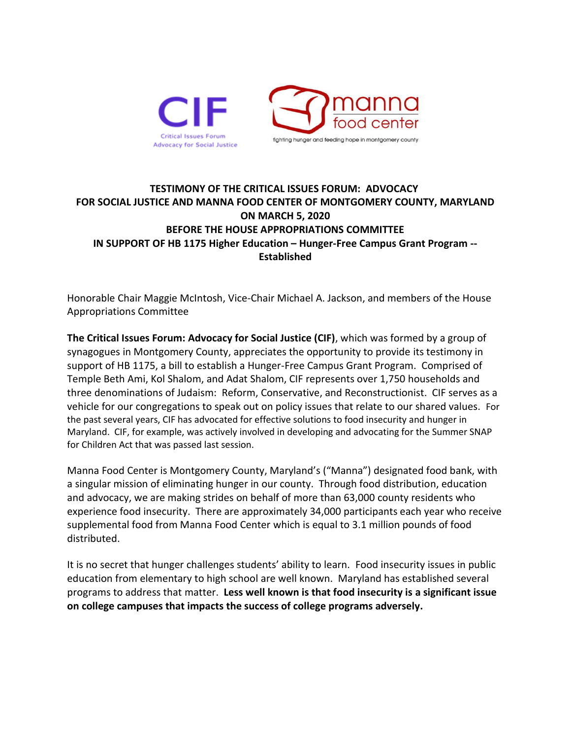

## **TESTIMONY OF THE CRITICAL ISSUES FORUM: ADVOCACY FOR SOCIAL JUSTICE AND MANNA FOOD CENTER OF MONTGOMERY COUNTY, MARYLAND ON MARCH 5, 2020 BEFORE THE HOUSE APPROPRIATIONS COMMITTEE IN SUPPORT OF HB 1175 Higher Education – Hunger-Free Campus Grant Program -- Established**

Honorable Chair Maggie McIntosh, Vice-Chair Michael A. Jackson, and members of the House Appropriations Committee

**The Critical Issues Forum: Advocacy for Social Justice (CIF)**, which was formed by a group of synagogues in Montgomery County, appreciates the opportunity to provide its testimony in support of HB 1175, a bill to establish a Hunger-Free Campus Grant Program. Comprised of Temple Beth Ami, Kol Shalom, and Adat Shalom, CIF represents over 1,750 households and three denominations of Judaism: Reform, Conservative, and Reconstructionist. CIF serves as a vehicle for our congregations to speak out on policy issues that relate to our shared values. For the past several years, CIF has advocated for effective solutions to food insecurity and hunger in Maryland. CIF, for example, was actively involved in developing and advocating for the Summer SNAP for Children Act that was passed last session.

Manna Food Center is Montgomery County, Maryland's ("Manna") designated food bank, with a singular mission of eliminating hunger in our county. Through food distribution, education and advocacy, we are making strides on behalf of more than 63,000 county residents who experience food insecurity. There are approximately 34,000 participants each year who receive supplemental food from Manna Food Center which is equal to 3.1 million pounds of food distributed.

It is no secret that hunger challenges students' ability to learn. Food insecurity issues in public education from elementary to high school are well known. Maryland has established several programs to address that matter. **Less well known is that food insecurity is a significant issue on college campuses that impacts the success of college programs adversely.**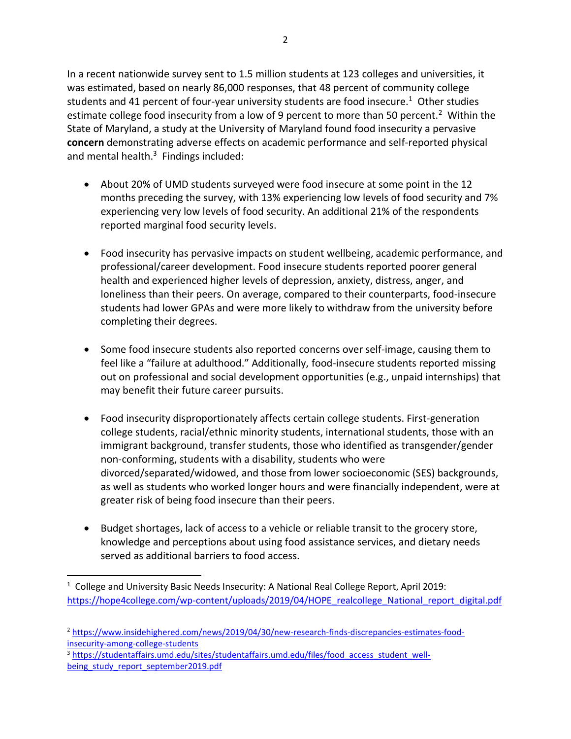In a recent nationwide survey sent to 1.5 million students at 123 colleges and universities, it was estimated, based on nearly 86,000 responses, that 48 percent of community college students and 41 percent of four-year university students are food insecure.<sup>1</sup> Other studies estimate college food insecurity from a low of 9 percent to more than 50 percent.<sup>2</sup> Within the State of Maryland, a study at the University of Maryland found food insecurity a pervasive

**concern** demonstrating adverse effects on academic performance and self-reported physical

reported marginal food security levels.

- and mental health.<sup>3</sup> Findings included: • About 20% of UMD students surveyed were food insecure at some point in the 12 months preceding the survey, with 13% experiencing low levels of food security and 7% experiencing very low levels of food security. An additional 21% of the respondents
	- Food insecurity has pervasive impacts on student wellbeing, academic performance, and professional/career development. Food insecure students reported poorer general health and experienced higher levels of depression, anxiety, distress, anger, and loneliness than their peers. On average, compared to their counterparts, food-insecure students had lower GPAs and were more likely to withdraw from the university before completing their degrees.
	- Some food insecure students also reported concerns over self-image, causing them to feel like a "failure at adulthood." Additionally, food-insecure students reported missing out on professional and social development opportunities (e.g., unpaid internships) that may benefit their future career pursuits.
	- Food insecurity disproportionately affects certain college students. First-generation college students, racial/ethnic minority students, international students, those with an immigrant background, transfer students, those who identified as transgender/gender non-conforming, students with a disability, students who were divorced/separated/widowed, and those from lower socioeconomic (SES) backgrounds, as well as students who worked longer hours and were financially independent, were at greater risk of being food insecure than their peers.
	- Budget shortages, lack of access to a vehicle or reliable transit to the grocery store, knowledge and perceptions about using food assistance services, and dietary needs served as additional barriers to food access.

<sup>&</sup>lt;sup>1</sup> College and University Basic Needs Insecurity: A National Real College Report, April 2019: [https://hope4college.com/wp-content/uploads/2019/04/HOPE\\_realcollege\\_National\\_report\\_digital.pdf](https://hope4college.com/wp-content/uploads/2019/04/HOPE_realcollege_National_report_digital.pdf)

<sup>2</sup> [https://www.insidehighered.com/news/2019/04/30/new-research-finds-discrepancies-estimates-food](https://www.insidehighered.com/news/2019/04/30/new-research-finds-discrepancies-estimates-food-insecurity-among-college-students)[insecurity-among-college-students](https://www.insidehighered.com/news/2019/04/30/new-research-finds-discrepancies-estimates-food-insecurity-among-college-students)

<sup>&</sup>lt;sup>3</sup> [https://studentaffairs.umd.edu/sites/studentaffairs.umd.edu/files/food\\_access\\_student\\_well](https://studentaffairs.umd.edu/sites/studentaffairs.umd.edu/files/food_access_student_well-being_study_report_september2019.pdf)[being\\_study\\_report\\_september2019.pdf](https://studentaffairs.umd.edu/sites/studentaffairs.umd.edu/files/food_access_student_well-being_study_report_september2019.pdf)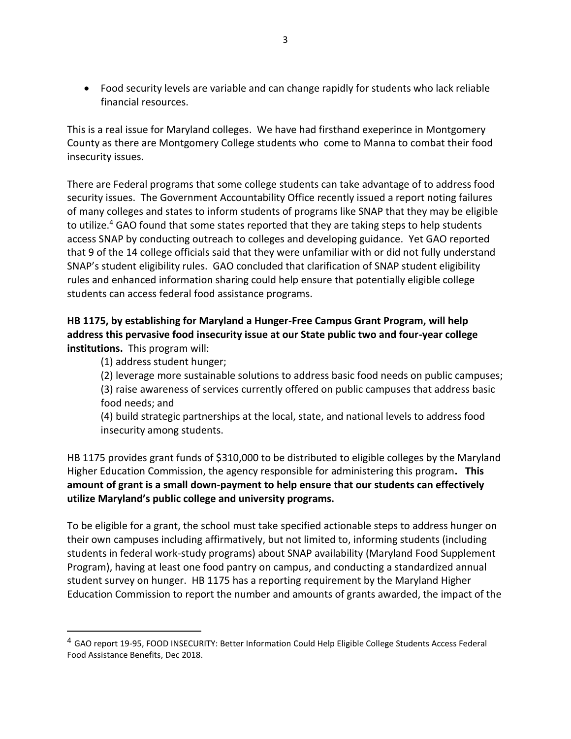• Food security levels are variable and can change rapidly for students who lack reliable financial resources.

This is a real issue for Maryland colleges. We have had firsthand exeperince in Montgomery County as there are Montgomery College students who come to Manna to combat their food insecurity issues.

There are Federal programs that some college students can take advantage of to address food security issues. The Government Accountability Office recently issued a report noting failures of many colleges and states to inform students of programs like SNAP that they may be eligible to utilize.<sup>4</sup> GAO found that some states reported that they are taking steps to help students access SNAP by conducting outreach to colleges and developing guidance. Yet GAO reported that 9 of the 14 college officials said that they were unfamiliar with or did not fully understand SNAP's student eligibility rules. GAO concluded that clarification of SNAP student eligibility rules and enhanced information sharing could help ensure that potentially eligible college students can access federal food assistance programs.

## **HB 1175, by establishing for Maryland a Hunger-Free Campus Grant Program, will help address this pervasive food insecurity issue at our State public two and four-year college institutions.** This program will:

(1) address student hunger;

(2) leverage more sustainable solutions to address basic food needs on public campuses; (3) raise awareness of services currently offered on public campuses that address basic food needs; and

(4) build strategic partnerships at the local, state, and national levels to address food insecurity among students.

HB 1175 provides grant funds of \$310,000 to be distributed to eligible colleges by the Maryland Higher Education Commission, the agency responsible for administering this program**. This amount of grant is a small down-payment to help ensure that our students can effectively utilize Maryland's public college and university programs.**

To be eligible for a grant, the school must take specified actionable steps to address hunger on their own campuses including affirmatively, but not limited to, informing students (including students in federal work-study programs) about SNAP availability (Maryland Food Supplement Program), having at least one food pantry on campus, and conducting a standardized annual student survey on hunger. HB 1175 has a reporting requirement by the Maryland Higher Education Commission to report the number and amounts of grants awarded, the impact of the

<sup>&</sup>lt;sup>4</sup> GAO report 19-95, FOOD INSECURITY: Better Information Could Help Eligible College Students Access Federal Food Assistance Benefits, Dec 2018.